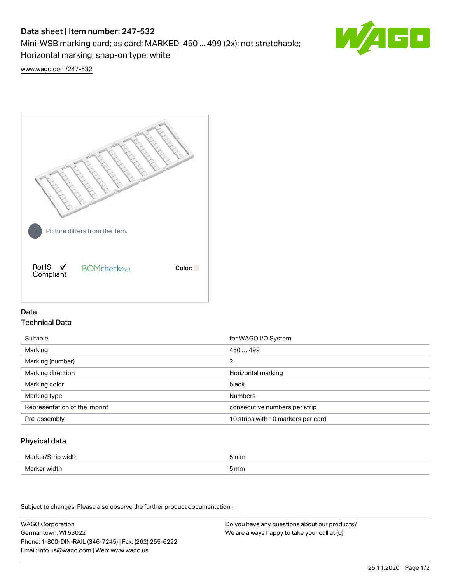# Data sheet | Item number: 247-532

Mini-WSB marking card; as card; MARKED; 450 ... 499 (2x); not stretchable;

Horizontal marking; snap-on type; white

60

[www.wago.com/247-532](http://www.wago.com/247-532)



## Data Technical Data

| Suitable                      | for WAGO I/O System                |
|-------------------------------|------------------------------------|
| Marking                       | 450499                             |
| Marking (number)              | 2                                  |
| Marking direction             | Horizontal marking                 |
| Marking color                 | black                              |
| Marking type                  | <b>Numbers</b>                     |
| Representation of the imprint | consecutive numbers per strip      |
| Pre-assembly                  | 10 strips with 10 markers per card |

## Physical data

| Marker/Strip width | i mm |
|--------------------|------|
| Marker width       | 5 mm |
| $ -$               |      |

Subject to changes. Please also observe the further product documentation!

WAGO Corporation Germantown, WI 53022 Phone: 1-800-DIN-RAIL (346-7245) | Fax: (262) 255-6222 Email: info.us@wago.com | Web: www.wago.us Do you have any questions about our products? We are always happy to take your call at {0}.